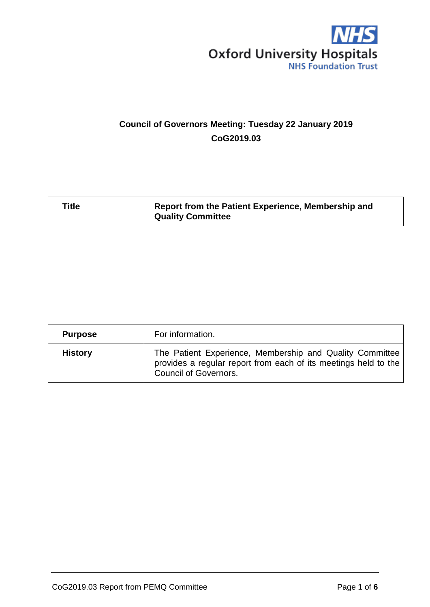

# **Council of Governors Meeting: Tuesday 22 January 2019 CoG2019.03**

| <b>Title</b> | Report from the Patient Experience, Membership and<br><b>Quality Committee</b> |
|--------------|--------------------------------------------------------------------------------|
|              |                                                                                |

| <b>Purpose</b> | For information.                                                                                                                                            |  |  |
|----------------|-------------------------------------------------------------------------------------------------------------------------------------------------------------|--|--|
| <b>History</b> | The Patient Experience, Membership and Quality Committee<br>provides a regular report from each of its meetings held to the<br><b>Council of Governors.</b> |  |  |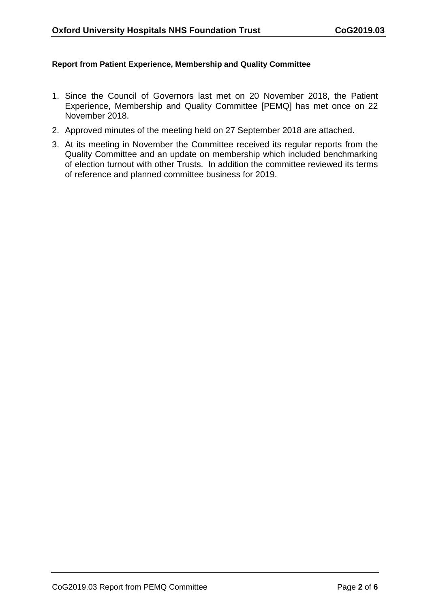#### **Report from Patient Experience, Membership and Quality Committee**

- 1. Since the Council of Governors last met on 20 November 2018, the Patient Experience, Membership and Quality Committee [PEMQ] has met once on 22 November 2018.
- 2. Approved minutes of the meeting held on 27 September 2018 are attached.
- 3. At its meeting in November the Committee received its regular reports from the Quality Committee and an update on membership which included benchmarking of election turnout with other Trusts. In addition the committee reviewed its terms of reference and planned committee business for 2019.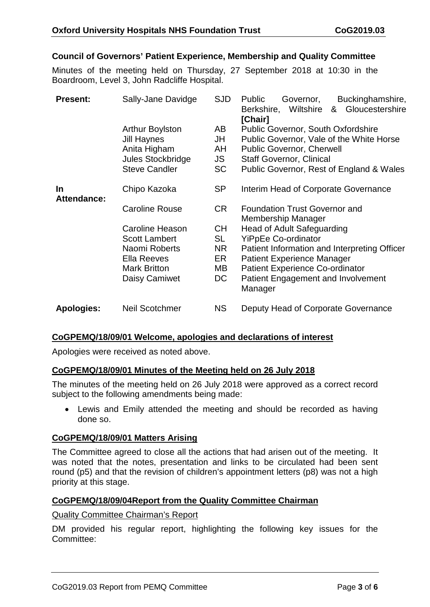# **Council of Governors' Patient Experience, Membership and Quality Committee**

Minutes of the meeting held on Thursday, 27 September 2018 at 10:30 in the Boardroom, Level 3, John Radcliffe Hospital.

| <b>Present:</b>   | Sally-Jane Davidge                                                                                               | <b>SJD</b>                        | Buckinghamshire,<br><b>Public</b><br>Governor,<br>& Gloucestershire<br>Berkshire, Wiltshire<br>[Chair]                                                                                                            |
|-------------------|------------------------------------------------------------------------------------------------------------------|-----------------------------------|-------------------------------------------------------------------------------------------------------------------------------------------------------------------------------------------------------------------|
|                   | <b>Arthur Boylston</b><br><b>Jill Haynes</b><br>Anita Higham<br><b>Jules Stockbridge</b><br><b>Steve Candler</b> | AB<br>JH<br>AH<br>JS<br><b>SC</b> | <b>Public Governor, South Oxfordshire</b><br>Public Governor, Vale of the White Horse<br><b>Public Governor, Cherwell</b><br><b>Staff Governor, Clinical</b><br>Public Governor, Rest of England & Wales          |
| In<br>Attendance: | Chipo Kazoka                                                                                                     | <b>SP</b>                         | Interim Head of Corporate Governance                                                                                                                                                                              |
|                   | <b>Caroline Rouse</b>                                                                                            | CR                                | <b>Foundation Trust Governor and</b><br>Membership Manager                                                                                                                                                        |
|                   | <b>Caroline Heason</b>                                                                                           | <b>CH</b>                         | <b>Head of Adult Safeguarding</b>                                                                                                                                                                                 |
|                   | <b>Scott Lambert</b><br>Naomi Roberts<br>Ella Reeves<br><b>Mark Britton</b><br>Daisy Camiwet                     | SL<br>NR<br>ER<br>MВ<br>DC        | <b>YiPpEe Co-ordinator</b><br>Patient Information and Interpreting Officer<br><b>Patient Experience Manager</b><br><b>Patient Experience Co-ordinator</b><br><b>Patient Engagement and Involvement</b><br>Manager |
| <b>Apologies:</b> | <b>Neil Scotchmer</b>                                                                                            | <b>NS</b>                         | Deputy Head of Corporate Governance                                                                                                                                                                               |

## **CoGPEMQ/18/09/01 Welcome, apologies and declarations of interest**

Apologies were received as noted above.

## **CoGPEMQ/18/09/01 Minutes of the Meeting held on 26 July 2018**

The minutes of the meeting held on 26 July 2018 were approved as a correct record subject to the following amendments being made:

• Lewis and Emily attended the meeting and should be recorded as having done so.

## **CoGPEMQ/18/09/01 Matters Arising**

The Committee agreed to close all the actions that had arisen out of the meeting. It was noted that the notes, presentation and links to be circulated had been sent round (p5) and that the revision of children's appointment letters (p8) was not a high priority at this stage.

## **CoGPEMQ/18/09/04Report from the Quality Committee Chairman**

#### Quality Committee Chairman's Report

DM provided his regular report, highlighting the following key issues for the Committee: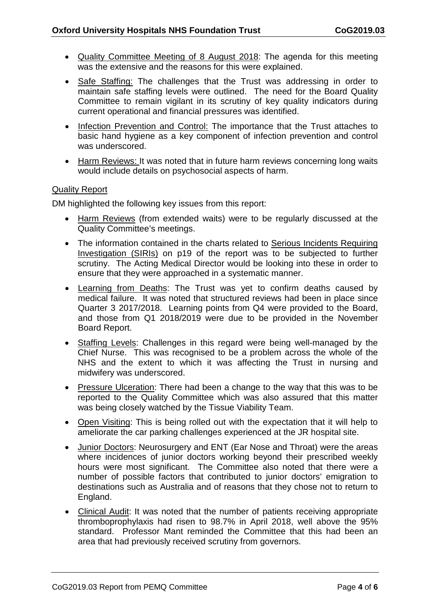- Quality Committee Meeting of 8 August 2018: The agenda for this meeting was the extensive and the reasons for this were explained.
- Safe Staffing: The challenges that the Trust was addressing in order to maintain safe staffing levels were outlined. The need for the Board Quality Committee to remain vigilant in its scrutiny of key quality indicators during current operational and financial pressures was identified.
- Infection Prevention and Control: The importance that the Trust attaches to basic hand hygiene as a key component of infection prevention and control was underscored.
- Harm Reviews: It was noted that in future harm reviews concerning long waits would include details on psychosocial aspects of harm.

# Quality Report

DM highlighted the following key issues from this report:

- Harm Reviews (from extended waits) were to be regularly discussed at the Quality Committee's meetings.
- The information contained in the charts related to Serious Incidents Requiring Investigation (SIRIs) on p19 of the report was to be subjected to further scrutiny. The Acting Medical Director would be looking into these in order to ensure that they were approached in a systematic manner.
- Learning from Deaths: The Trust was yet to confirm deaths caused by medical failure. It was noted that structured reviews had been in place since Quarter 3 2017/2018. Learning points from Q4 were provided to the Board, and those from Q1 2018/2019 were due to be provided in the November Board Report.
- Staffing Levels: Challenges in this regard were being well-managed by the Chief Nurse. This was recognised to be a problem across the whole of the NHS and the extent to which it was affecting the Trust in nursing and midwifery was underscored.
- Pressure Ulceration: There had been a change to the way that this was to be reported to the Quality Committee which was also assured that this matter was being closely watched by the Tissue Viability Team.
- Open Visiting: This is being rolled out with the expectation that it will help to ameliorate the car parking challenges experienced at the JR hospital site.
- Junior Doctors: Neurosurgery and ENT (Ear Nose and Throat) were the areas where incidences of junior doctors working beyond their prescribed weekly hours were most significant. The Committee also noted that there were a number of possible factors that contributed to junior doctors' emigration to destinations such as Australia and of reasons that they chose not to return to England.
- Clinical Audit: It was noted that the number of patients receiving appropriate thromboprophylaxis had risen to 98.7% in April 2018, well above the 95% standard. Professor Mant reminded the Committee that this had been an area that had previously received scrutiny from governors.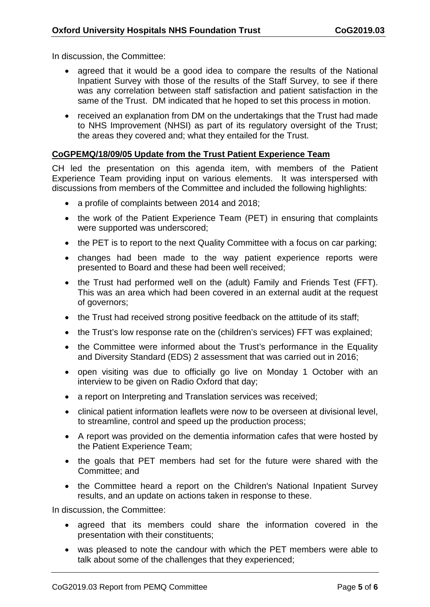In discussion, the Committee:

- agreed that it would be a good idea to compare the results of the National Inpatient Survey with those of the results of the Staff Survey, to see if there was any correlation between staff satisfaction and patient satisfaction in the same of the Trust. DM indicated that he hoped to set this process in motion.
- received an explanation from DM on the undertakings that the Trust had made to NHS Improvement (NHSI) as part of its regulatory oversight of the Trust; the areas they covered and; what they entailed for the Trust.

# **CoGPEMQ/18/09/05 Update from the Trust Patient Experience Team**

CH led the presentation on this agenda item, with members of the Patient Experience Team providing input on various elements. It was interspersed with discussions from members of the Committee and included the following highlights:

- a profile of complaints between 2014 and 2018;
- the work of the Patient Experience Team (PET) in ensuring that complaints were supported was underscored;
- the PET is to report to the next Quality Committee with a focus on car parking;
- changes had been made to the way patient experience reports were presented to Board and these had been well received;
- the Trust had performed well on the (adult) Family and Friends Test (FFT). This was an area which had been covered in an external audit at the request of governors;
- the Trust had received strong positive feedback on the attitude of its staff;
- the Trust's low response rate on the (children's services) FFT was explained;
- the Committee were informed about the Trust's performance in the Equality and Diversity Standard (EDS) 2 assessment that was carried out in 2016;
- open visiting was due to officially go live on Monday 1 October with an interview to be given on Radio Oxford that day;
- a report on Interpreting and Translation services was received;
- clinical patient information leaflets were now to be overseen at divisional level, to streamline, control and speed up the production process;
- A report was provided on the dementia information cafes that were hosted by the Patient Experience Team;
- the goals that PET members had set for the future were shared with the Committee; and
- the Committee heard a report on the Children's National Inpatient Survey results, and an update on actions taken in response to these.

In discussion, the Committee:

- agreed that its members could share the information covered in the presentation with their constituents;
- was pleased to note the candour with which the PET members were able to talk about some of the challenges that they experienced;